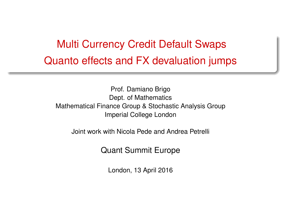# <span id="page-0-0"></span>Multi Currency Credit Default Swaps Quanto effects and FX devaluation jumps

Prof. Damiano Brigo Dept. of Mathematics Mathematical Finance Group & Stochastic Analysis Group Imperial College London

Joint work with Nicola Pede and Andrea Petrelli

Quant Summit Europe

London, 13 April 2016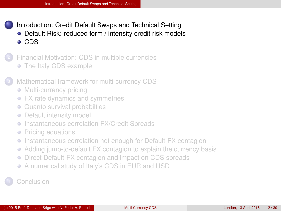- <span id="page-1-0"></span>[Introduction: Credit Default Swaps and Technical Setting](#page-1-0) ● [Default Risk: reduced form / intensity credit risk models](#page-2-0) [CDS](#page-3-0)
- <sup>2</sup> [Financial Motivation: CDS in multiple currencies](#page-4-0) • [The Italy CDS example](#page-5-0)
- [Mathematical framework for multi-currency CDS](#page-6-0)
	- [Multi-currency pricing](#page-7-0)
	- [FX rate dynamics and symmetries](#page-9-0)
	- [Quanto survival probabilties](#page-11-0)  $\bullet$
	- [Default intensity model](#page-12-0)
	- [Instantaneous correlation FX/Credit Spreads](#page-13-0) ۰
	- [Pricing equations](#page-14-0)  $\bullet$
	- [Instantaneous correlation not enough for Default-FX contagion](#page-18-0) ۰
	- [Adding jump-to-default FX contagion to explain the currency basis](#page-19-0)  $\bullet$
	- [Direct Default-FX contagion and impact on CDS spreads](#page-19-0)  $\bullet$
	- [A numerical study of Italy's CDS in EUR and USD](#page-23-0)

**[Conclusion](#page-27-0)**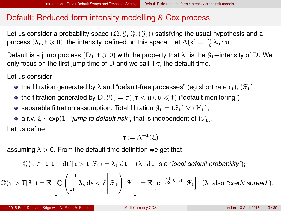#### <span id="page-2-0"></span>Default: Reduced-form intensity modelling & Cox process

Let us consider a probability space  $(\Omega, \mathcal{G}, \mathbb{Q}, (\mathcal{G}_t))$  satisfying the usual hypothesis and a process  $(\lambda_t, t \geq 0)$ , the intensity, defined on this space. Let  $\Lambda(s) = \int_0^s \lambda_u du$ .

Default is a jump process (D<sub>t</sub>, t  $\geqslant$  0) with the property that  $\lambda_t$  is the  $\mathcal{G}_t$ −intensity of D. We only focus on the first jump time of D and we call it  $\tau$ , the default time.

Let us consider

- the filtration generated by  $\lambda$  and "default-free processes" (eg short rate  $r_t$ ),  $(\mathcal{F}_t)$ ;
- the filtration generated by D,  $\mathcal{H}_t = \sigma((\tau \langle u \rangle, u \leq t))$  ("default monitoring")
- separable filtration assumption: Total filtration  $\mathcal{G}_t = (\mathcal{F}_t) \vee (\mathcal{H}_t)$ ;
- **a** a r.v.  $\xi \sim \exp(1)$  *"jump to default risk"*, that is independent of  $(\mathcal{F}_t)$ .

Let us define

$$
\tau \mathrel{\mathop:}= \Lambda^{-1}(\xi)
$$

assuming  $\lambda > 0$ . From the default time definition we get that

$$
\mathbb{Q}(\tau \in [t, t+dt)|\tau>t, \mathcal{F}_t) = \lambda_t dt, \quad (\lambda_t dt \text{ is a "local default probability"});
$$
\n
$$
\mathbb{Q}(\tau > T | \mathcal{F}_t) = \mathbb{E}\left[\mathbb{Q}\left(\int_0^T \lambda_s ds < \xi \, \bigg|\, \mathcal{F}_T\right) | \mathcal{F}_t\right] = \mathbb{E}\left[e^{-\int_0^T \lambda_s ds} | \mathcal{F}_t\right] \ (\lambda \text{ also "credit spread"}).
$$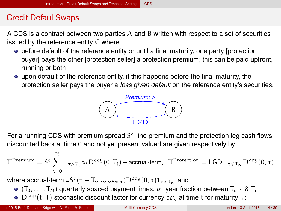# <span id="page-3-0"></span>Credit Defaul Swaps

A CDS is a contract between two parties A and B written with respect to a set of securities issued by the reference entity C where

- before default of the reference entity or until a final maturity, one party [protection buyer] pays the other [protection seller] a protection premium; this can be paid upfront, running or both;
- upon default of the reference entity, if this happens before the final maturity, the protection seller pays the buyer a *loss given default* on the reference entity's securities.



For a running CDS with premium spread  $S<sup>c</sup>$ , the premium and the protection leg cash flows discounted back at time 0 and not yet present valued are given respectively by

$$
\Pi^{\mathrm{Premium}} = S^c \sum_{i=0}^N \mathbb{1}_{\tau > T_i} \alpha_i D^{ccy}(0,T_i) + \text{accual-term}, \ \ \Pi^{\mathrm{Protection}} = \text{LGD}\, \mathbb{1}_{\tau \leqslant T_N} D^{ccy}(0,\tau)
$$

where accrual-term  $=$  S $^c(\tau-\text{T}_{\mathsf{coupon\,before}\; \tau})\text{D}^{ccy}(0,\tau)\text{1}_{\tau<\text{T}_\mathbf{N}}$  and

- $\bullet$  (T<sub>0</sub>, . . . , T<sub>N</sub>) quarterly spaced payment times,  $\alpha_i$  year fraction between T<sub>i−1</sub> & T<sub>i</sub>;
- $\bullet$  D<sup>ccy</sup>(t. T) stochastic discount factor for currency ccu at time t for maturity T: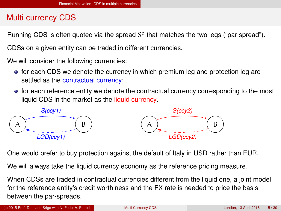#### <span id="page-4-0"></span>Multi-currency CDS

Running CDS is often quoted via the spread  $S<sup>c</sup>$  that matches the two legs ("par spread").

CDSs on a given entity can be traded in different currencies.

We will consider the following currencies:

- for each CDS we denote the currency in which premium leg and protection leg are settled as the contractual currency;
- for each reference entity we denote the contractual currency corresponding to the most liquid CDS in the market as the liquid currency.



One would prefer to buy protection against the default of Italy in USD rather than EUR.

We will always take the liquid currency economy as the reference pricing measure.

When CDSs are traded in contractual currencies different from the liquid one, a joint model for the reference entity's credit worthiness and the FX rate is needed to price the basis between the par-spreads.

(c) 2015 Prof. Damiano Brigo with N. Pede, A. Petrelli [Multi Currency CDS](#page-0-0) London, 13 April 2016 5 / 30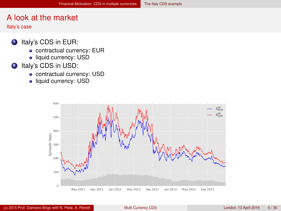# <span id="page-5-0"></span>A look at the market

Italy's case

- **1** Italy's CDS in EUR:
	- **•** contractual currency: EUR
	- **·** liquid currency: USD
- 2 Italy's CDS in USD:
	- contractual currency: USD
	- liquid currency: USD

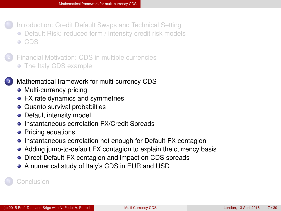<span id="page-6-0"></span>[Introduction: Credit Default Swaps and Technical Setting](#page-1-0) [Default Risk: reduced form / intensity credit risk models](#page-2-0) [CDS](#page-3-0)

<sup>2</sup> [Financial Motivation: CDS in multiple currencies](#page-4-0) • [The Italy CDS example](#page-5-0)

#### [Mathematical framework for multi-currency CDS](#page-6-0)

- [Multi-currency pricing](#page-7-0)
- [FX rate dynamics and symmetries](#page-9-0)
- [Quanto survival probabilties](#page-11-0)
- [Default intensity model](#page-12-0)
- **•** [Instantaneous correlation FX/Credit Spreads](#page-13-0)
- [Pricing equations](#page-14-0)
- [Instantaneous correlation not enough for Default-FX contagion](#page-18-0)
- [Adding jump-to-default FX contagion to explain the currency basis](#page-19-0)  $\bullet$
- [Direct Default-FX contagion and impact on CDS spreads](#page-19-0)
- [A numerical study of Italy's CDS in EUR and USD](#page-23-0)

**[Conclusion](#page-27-0)**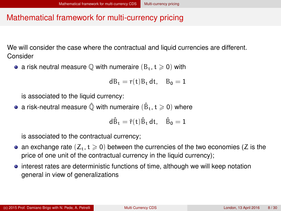# <span id="page-7-0"></span>Mathematical framework for multi-currency pricing

We will consider the case where the contractual and liquid currencies are different. Consider

• a risk neutral measure  $\mathbb Q$  with numeraire  $(B_t, t \geq 0)$  with

$$
dB_t = r(t)B_t dt, \quad B_0 = 1
$$

is associated to the liquid currency:

a risk-neutral measure  $\hat{\mathbb Q}$  with numeraire  $(\hat{\mathtt {B}}_{\mathtt {t}},\mathtt {t}\geqslant 0)$  where

$$
d\hat{B}_t = \hat{r}(t)\hat{B}_t dt, \quad \hat{B}_0 = 1
$$

is associated to the contractual currency;

- an exchange rate  $(Z_t, t \geq 0)$  between the currencies of the two economies (Z is the price of one unit of the contractual currency in the liquid currency);
- interest rates are deterministic functions of time, although we will keep notation general in view of generalizations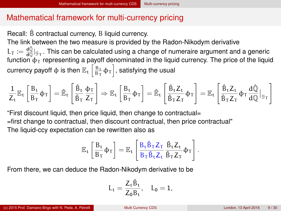### <span id="page-8-0"></span>Mathematical framework for multi-currency pricing

Recall:  $\hat{B}$  contractual currency, B liquid currency.

The link between the two measure is provided by the Radon-Nikodym derivative

 $L_T := \frac{d\hat{Q}}{dQ}|_{\mathcal{G}_T}$ . This can be calculated using a change of numeraire argument and a generic function  $\Phi$ <sub>T</sub> representing a payoff denominated in the liquid currency. The price of the liquid currency payoff  $\phi$  is then  $\mathbb{E}_{\rm t}\left[\frac{{\rm B}_{\rm t}}{\rm B}_{\rm T}\varphi_{\rm T}\right]$ , satisfying the usual

$$
\frac{1}{Z_t} \mathbb{E}_t\left[\frac{B_t}{B_T} \varphi_T\right] = \hat{\mathbb{E}}_t\left[\frac{\hat{B}_t}{\hat{B}_T} \frac{\varphi_T}{Z_T}\right] \Rightarrow \mathbb{E}_t\left[\frac{B_t}{B_T} \varphi_T\right] = \hat{\mathbb{E}}_t\left[\frac{\hat{B}_t Z_t}{\hat{B}_T Z_T} \varphi_T\right] = \mathbb{E}_t\left[\frac{\hat{B}_t Z_t}{\hat{B}_T Z_T} \varphi_T \frac{d\mathbb{Q}}{d\mathbb{Q}}\big|_{\mathbb{G}_T}\right]
$$

"First discount liquid, then price liquid, then change to contractual= =first change to contractual, then discount contractual, then price contractual" The liquid-ccy expectation can be rewritten also as

$$
\mathbb{E}_t\left[\frac{B_t}{B_T}\varphi_T\right] = \mathbb{E}_t\left[\frac{B_t\hat{B}_TZ_T}{B_T\hat{B}_tZ_t}\frac{\hat{B}_tZ_t}{\hat{B}_TZ_T}\varphi_T\right].
$$

From there, we can deduce the Radon-Nikodym derivative to be

$$
L_t=\frac{Z_t\hat{B}_t}{Z_0B_t},\quad L_0=1,
$$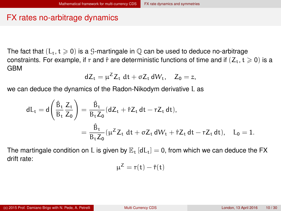#### <span id="page-9-0"></span>FX rates no-arbitrage dynamics

The fact that  $(L_t, t \geq 0)$  is a G-martingale in  $\mathbb O$  can be used to deduce no-arbitrage constraints. For example, if r and  $\hat{r}$  are deterministic functions of time and if  $(Z_t, t \geq 0)$  is a GBM

$$
dZ_t = \mu^Z Z_t dt + \sigma Z_t dW_t, \quad Z_0 = z,
$$

we can deduce the dynamics of the Radon-Nikodym derivative L as

$$
\begin{aligned} dL_t &= d\Bigg(\frac{\hat{B}_t}{B_t}\frac{Z_t}{Z_0}\Bigg) = \frac{\hat{B}_t}{B_tZ_0}(dZ_t + \hat{r}Z_t\,dt - rZ_t\,dt),\\ &= \frac{\hat{B}_t}{B_tZ_0}(\mu^ZZ_t\,dt + \sigma Z_t\,dW_t + \hat{r}Z_t\,dt - rZ_t\,dt),\quad L_0 = 1. \end{aligned}
$$

The martingale condition on L is given by  $\mathbb{E}_{t}$  [dL<sub>t</sub>] = 0, from which we can deduce the FX drift rate:

$$
\mu^Z = r(t) - \hat{r}(t)
$$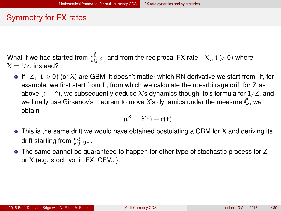### <span id="page-10-0"></span>Symmetry for FX rates

What if we had started from  $\frac{d\hat{Q}}{dQ}|_{G_T}$  and from the reciprocal FX rate,  $(X_t, t \geqslant 0)$  where  $X = \frac{1}{Z}$ , instead?

If  $(Z_t, t \geq 0)$  (or X) are GBM, it doesn't matter which RN derivative we start from. If, for example, we first start from L, from which we calculate the no-arbitrage drift for Z as above  $(r - \hat{r})$ , we subsequently deduce X's dynamics though Ito's formula for  $1/Z$ , and we finally use Girsanov's theorem to move X's dynamics under the measure  $\hat{O}$ . we obtain

$$
\mu^X = \hat{r}(t) - r(t)
$$

- $\bullet$  This is the same drift we would have obtained postulating a GBM for X and deriving its drift starting from  $\frac{{\sf d}\hat{\mathbb{Q}}}{\sf d}\vert_{\mathcal{G}_\mathsf{T}}$  .
- The same cannot be guaranteed to happen for other type of stochastic process for Z or  $X$  (e.g. stoch vol in FX, CEV...).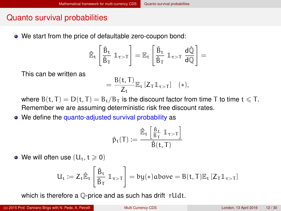### <span id="page-11-0"></span>Quanto survival probabilities

We start from the price of defaultable zero-coupon bond:

$$
\hat{\mathbb{E}}_t \left[\frac{\hat{\beta}_t}{\hat{B}_T} ~ 1\!\!1_{\tau>T} \right] = \mathbb{E}_t \left[\frac{\hat{B}_t}{\hat{B}_T} ~ 1\!\!1_{\tau>T} ~\frac{d\hat{\mathbb{Q}}}{d\mathbb{Q}} \right] =
$$

This can be written as

$$
= \frac{B(t,T)}{Z_t} \mathbb{E}_t \left[ Z_T \mathbb{1}_{\tau > T} \right] \quad (*)
$$

where  $B(t, T) = D(t, T) = B_t/B_T$  is the discount factor from time T to time  $t \leq T$ . Remember we are assuming deterministic risk free discount rates.

• We define the quanto-adjusted survival probability as

$$
\hat{p}_t(T):=\frac{\hat{\mathbb{E}}_t\left[\frac{\hat{\mathbb{B}}_t}{\hat{\mathbb{B}}_T}\,\mathbb{1}_{\tau>T}\right]}{\hat{B}(t,T)}
$$

• We will often use  $(U_t, t \geq 0)$ 

$$
U_t:=Z_t\hat{\mathbb{E}}_t\left[\frac{\hat{B}_t}{\hat{B}_T}\,\mathbb{1}_{\tau>T}\right]=by(*)above=B(t,T)\mathbb{E}_t\left[Z_T\mathbb{1}_{\tau>T}\right]
$$

which is therefore a  $\mathbb Q$ -price and as such has drift rUdt.

(c) 2015 Prof. Damiano Brigo with N. Pede, A. Petrelli [Multi Currency CDS](#page-0-0) London, 13 April 2016 12 / 30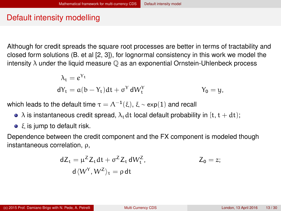# <span id="page-12-0"></span>Default intensity modelling

Although for credit spreads the square root processes are better in terms of tractability and closed form solutions (B. et al [\[2,](#page-28-0) [3\]](#page-28-1)), for lognormal consistency in this work we model the intensity  $\lambda$  under the liquid measure  $\mathbb Q$  as an exponential Ornstein-Uhlenbeck process

$$
\lambda_t = e^{Y_t}
$$
  
\n
$$
dY_t = a(b - Y_t)dt + \sigma^Y dW_t^Y
$$
  
\n
$$
Y_0 = y,
$$

which leads to the default time  $\tau=\Lambda^{-1}(\xi),\,\xi\sim \exp(1)$  and recall

- $\bullet$   $\lambda$  is instantaneous credit spread,  $\lambda_t$  dt local default probability in [t, t + dt];
- $\bullet$   $\xi$  is jump to default risk.

Dependence between the credit component and the FX component is modeled though instantaneous correlation, ρ,

$$
dZ_t = \mu^Z Z_t dt + \sigma^Z Z_t dW_t^Z, \qquad Z_0 = z;
$$
  

$$
d\langle W^Y, W^Z \rangle_t = \rho dt
$$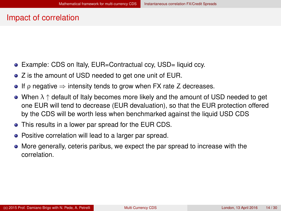#### <span id="page-13-0"></span>Impact of correlation

- Example: CDS on Italy, EUR=Contractual ccy, USD= liquid ccy.
- Z is the amount of USD needed to get one unit of EUR.
- If  $\rho$  negative  $\Rightarrow$  intensity tends to grow when FX rate Z decreases.
- $\bullet$  When  $\lambda \uparrow$  default of Italy becomes more likely and the amount of USD needed to get one EUR will tend to decrease (EUR devaluation), so that the EUR protection offered by the CDS will be worth less when benchmarked against the liquid USD CDS
- This results in a lower par spread for the EUR CDS.
- Positive correlation will lead to a larger par spread.
- More generally, ceteris paribus, we expect the par spread to increase with the correlation.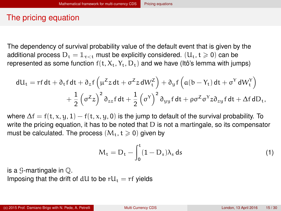#### <span id="page-14-0"></span>The pricing equation

The dependency of survival probability value of the default event that is given by the additional process  $D_t = 1_{\tau < t}$  must be explicitly considered.  $(U_t, t \geq 0)$  can be represented as some function  $f(t, X_t, Y_t, D_t)$  and we have (Itô's lemma with jumps)

$$
\begin{aligned} dU_t&=rf\,dt+\partial_t f\,dt+\partial_z f\left(\mu^Z z\,dt+\sigma^Z z\,dW_t^Z\right)+\partial_y f\left(a(b-Y_t)\,dt+\sigma^Y\,dW_t^Y\right)\\ &+\frac{1}{2}\left(\sigma^Z z\right)^2\partial_{zz} f\,dt+\frac{1}{2}\left(\sigma^Y\right)^2\partial_{yy} f\,dt+\rho\sigma^Z\sigma^Y z\partial_{zy} f\,dt+\Delta f\,dD_t, \end{aligned}
$$

where  $\Delta f = f(t, x, y, 1) - f(t, x, y, 0)$  is the jump to default of the survival probability. To write the pricing equation, it has to be noted that D is not a martingale, so its compensator must be calculated. The process  $(M_t, t \geq 0)$  given by

$$
M_t = D_t - \int_0^t (1 - D_s) \lambda_s \, ds \tag{1}
$$

is a  $\mathcal G$ -martingale in  $\mathbb Q$ .

Imposing that the drift of dU to be  $rU_t = rf$  yields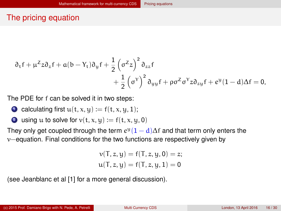# <span id="page-15-0"></span>The pricing equation

$$
\begin{aligned} \partial_t f+\mu^Z z \partial_z f+a(b-Y_t) \partial_{y} f+\frac{1}{2}\left(\sigma^Z z\right)^2 \partial_{zz} f\\ &+\frac{1}{2}\left(\sigma^Y\right)^2 \partial_{yy} f+\rho \sigma^Z \sigma^Y z \partial_{zy} f+e^y(1-d)\Delta f=0,\end{aligned}
$$

The PDE for f can be solved it in two steps:

- calculating first  $u(t, x, y) := f(t, x, y, 1);$
- 2 using u to solve for  $v(t, x, y) := f(t, x, y, 0)$

They only get coupled through the term  $e^{y}(1 - d)\Delta f$  and that term only enters the v−equation. Final conditions for the two functions are respectively given by

$$
v(T, z, y) = f(T, z, y, 0) = z;
$$
  

$$
u(T, z, y) = f(T, z, y, 1) = 0
$$

(see Jeanblanc et al [\[1\]](#page-28-2) for a more general discussion).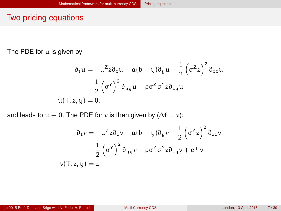#### <span id="page-16-0"></span>Two pricing equations

The PDE for u is given by

$$
\partial_t u = -\mu^Z z \partial_z u - a(b - y) \partial_y u - \frac{1}{2} (\sigma^Z z)^2 \partial_{zz} u
$$

$$
- \frac{1}{2} (\sigma^Y)^2 \partial_{yy} u - \rho \sigma^Z \sigma^Y z \partial_{zy} u
$$

$$
u(T, z, y) = 0.
$$

and leads to  $u \equiv 0$ . The PDE for v is then given by ( $\Delta f = v$ ):

$$
\partial_t v = -\mu^Z z \partial_z v - a(b - y) \partial_y v - \frac{1}{2} (\sigma^Z z)^2 \partial_{zz} v
$$

$$
- \frac{1}{2} (\sigma^Y)^2 \partial_{yy} v - \rho \sigma^Z \sigma^Y z \partial_{zy} v + \epsilon^y v
$$

$$
v(T, z, y) = z.
$$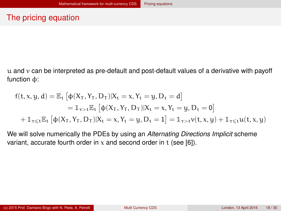# <span id="page-17-0"></span>The pricing equation

 $u$  and  $v$  can be interpreted as pre-default and post-default values of a derivative with payoff function φ:

$$
\begin{aligned} f(t,x,y,d) & = \mathbb{E}_t \left[ \varphi(X_T,Y_T,D_T) | X_t=x,Y_t=y,D_t=d \right] \\ & = \mathbb{1}_{\tau>t} \mathbb{E}_t \left[ \varphi(X_T,Y_T,D_T) | X_t=x,Y_t=y,D_t=0 \right] \\ & + \mathbb{1}_{\tau \leqslant t} \mathbb{E}_t \left[ \varphi(X_T,Y_T,D_T) | X_t=x,Y_t=y,D_t=1 \right] = \mathbb{1}_{\tau>t} v(t,x,y) + \mathbb{1}_{\tau \leqslant t} u(t,x,y) \end{aligned}
$$

We will solve numerically the PDEs by using an *Alternating Directions Implicit* scheme variant, accurate fourth order in  $x$  and second order in t (see [\[6\]](#page-29-0)).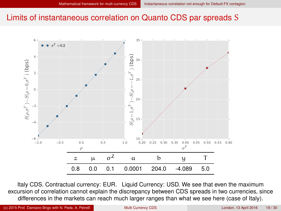#### <span id="page-18-0"></span>Limits of instantaneous correlation on Quanto CDS par spreads S



Italy CDS. Contractual currency: EUR. Liquid Currency: USD. We see that even the maximum excursion of correlation cannot explain the discrepancy between CDS spreads in two currencies, since differences in the markets can reach much larger ranges than what we see here (case of Italy).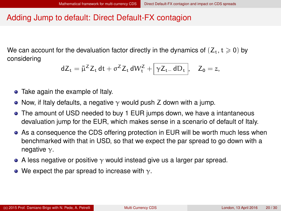# <span id="page-19-0"></span>Adding Jump to default: Direct Default-FX contagion

We can account for the devaluation factor directly in the dynamics of  $(Z_t, t \geq 0)$  by considering

$$
dZ_t = \bar{\mu}^Z Z_t dt + \sigma^Z Z_t dW_t^Z + \boxed{\gamma Z_{t-} dD_t}, \quad Z_0 = z,
$$

- Take again the example of Italy.
- Now, if Italy defaults, a negative  $\gamma$  would push Z down with a jump.
- The amount of USD needed to buy 1 EUR jumps down, we have a intantaneous devaluation jump for the EUR, which makes sense in a scenario of default of Italy.
- As a consequence the CDS offering protection in EUR will be worth much less when benchmarked with that in USD, so that we expect the par spread to go down with a negative  $\gamma$ .
- A less negative or positive  $\gamma$  would instead give us a larger par spread.
- We expect the par spread to increase with  $\gamma$ .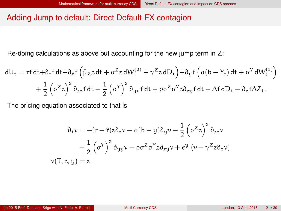#### <span id="page-20-0"></span>Adding Jump to default: Direct Default-FX contagion

Re-doing calculations as above but accounting for the new jump term in Z:

$$
dU_t = rf dt + \partial_t f dt + \partial_z f \left( \bar{\mu}_z z dt + \sigma^2 z dW_t^{(2)} + \gamma^2 z dD_t \right) + \partial_y f \left( a(b - Y_t) dt + \sigma^Y dW_t^{(1)} \right) + \frac{1}{2} \left( \sigma^Z z \right)^2 \partial_{zz} f dt + \frac{1}{2} \left( \sigma^Y \right)^2 \partial_{yy} f dt + \rho \sigma^Z \sigma^Y z \partial_{zy} f dt + \Delta f dD_t - \partial_z f \Delta Z_t.
$$

The pricing equation associated to that is

$$
\partial_t v = -(r - \hat{r})z \partial_z v - a(b - y)\partial_y v - \frac{1}{2} (\sigma^2 z)^2 \partial_{zz} v
$$
  

$$
- \frac{1}{2} (\sigma^Y)^2 \partial_{yy} v - \rho \sigma^Z \sigma^Y z \partial_{zy} v + \epsilon^y (v - \gamma^Z z \partial_z v)
$$
  

$$
v(T, z, y) = z,
$$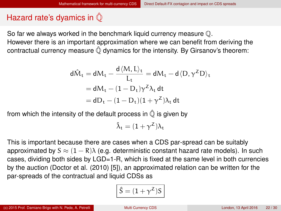# <span id="page-21-0"></span>Hazard rate's dyamics in  $\hat{\mathbb{O}}$

So far we always worked in the benchmark liquid currency measure Q. However there is an important approximation where we can benefit from deriving the contractual currency measure  $\hat{\mathbb{Q}}$  dynamics for the intensity. By Girsanov's theorem:

$$
d\hat{M}_t = dM_t - \frac{d \langle M, L \rangle_t}{L_t} = dM_t - d \langle D, \gamma^Z D \rangle_t
$$
  
=  $dM_t - (1 - D_t)\gamma^Z \lambda_t dt$   
=  $dD_t - (1 - D_t)(1 + \gamma^Z)\lambda_t dt$ 

from which the intensity of the default process in  $\hat{\mathbb{Q}}$  is given by

$$
\hat{\lambda}_t = (1+\gamma^Z)\lambda_t
$$

This is important because there are cases when a CDS par-spread can be suitably approximated by  $S \approx (1 - R)\lambda$  (e.g. deterministic constant hazard rate models). In such cases, dividing both sides by LGD=1-R, which is fixed at the same level in both currencies by the auction (Doctor et al. (2010) [\[5\]](#page-28-3)), an approximated relation can be written for the par-spreads of the contractual and liquid CDSs as

$$
\hat{S}=(1+\gamma^Z)S
$$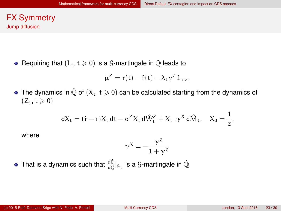#### <span id="page-22-0"></span>FX Symmetry Jump diffusion

• Requiring that  $(L_t, t \geq 0)$  is a G-martingale in  $\mathbb O$  leads to

$$
\bar{\mu}^Z = r(t) - \hat{r}(t) - \lambda_t \gamma^Z \mathbb{1}_{\tau > t}
$$

• The dynamics in  $\hat{\mathbb{Q}}$  of  $(X_t, t \geq 0)$  can be calculated starting from the dynamics of  $(Z_{t}, t \ge 0)$ 

$$
dX_t = (\hat{r} - r)X_t dt - \sigma^Z X_t d\hat{W}_t^Z + X_{t-} \gamma^X d\hat{M}_t, \quad X_0 = \frac{1}{z},
$$

where

$$
\gamma^X=-\frac{\gamma^Z}{1+\gamma^Z}
$$

That is a dynamics such that  $\frac{\mathrm{d}\hat{\mathbb{Q}}}{\mathrm{d}\mathbb{Q}}|_{\mathbb{S}_\mathrm{t}}$  is a  $\mathcal G$ -martingale in  $\hat{\mathbb{Q}}$ .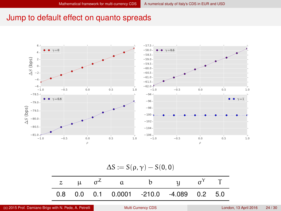#### <span id="page-23-0"></span>Jump to default effect on quanto spreads



 $\Delta S := S(\rho, \gamma) - S(0, 0)$ 

|  | z $\mu$ $\sigma^2$ a b $\mu$ $\sigma^Y$ T  |  |  |
|--|--------------------------------------------|--|--|
|  | $0.8$ 0.0 0.1 0.0001 -210.0 -4.089 0.2 5.0 |  |  |

(c) 2015 Prof. Damiano Brigo with N. Pede, A. Petrelli [Multi Currency CDS](#page-0-0) London, 13 April 2016 24 / 30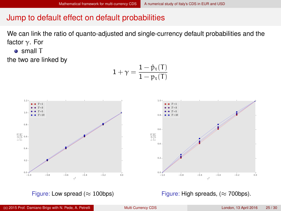### <span id="page-24-0"></span>Jump to default effect on default probabilities

We can link the ratio of quanto-adjusted and single-currency default probabilities and the factor  $\gamma$ . For

**o** small T

the two are linked by

$$
1+\gamma=\frac{1-\hat{p}_{\mathrm{t}}(T)}{1-p_{\mathrm{t}}(T)}
$$



Figure: Low spread ( $\approx$  100bps)

Figure: High spreads, ( $\approx$  700bps).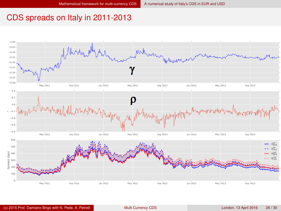### <span id="page-25-0"></span>CDS spreads on Italy in 2011-2013

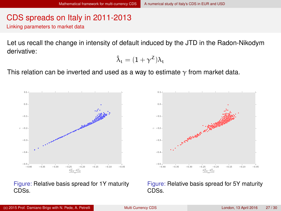# <span id="page-26-0"></span>CDS spreads on Italy in 2011-2013

Linking parameters to market data

Let us recall the change in intensity of default induced by the JTD in the Radon-Nikodym derivative:

$$
\hat{\lambda}_t = (1 + \gamma^Z) \lambda_t
$$

This relation can be inverted and used as a way to estimate  $\gamma$  from market data.



Figure: Relative basis spread for 1Y maturity

Figure: Relative basis spread for 5Y maturity CDSs.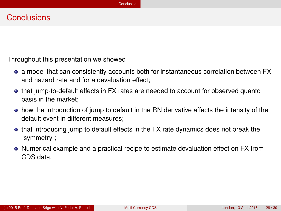#### <span id="page-27-0"></span>**Conclusions**

Throughout this presentation we showed

- a model that can consistently accounts both for instantaneous correlation between FX and hazard rate and for a devaluation effect;
- that jump-to-default effects in FX rates are needed to account for observed quanto basis in the market;
- how the introduction of jump to default in the RN derivative affects the intensity of the default event in different measures;
- that introducing jump to default effects in the FX rate dynamics does not break the "symmetry";
- Numerical example and a practical recipe to estimate devaluation effect on FX from CDS data.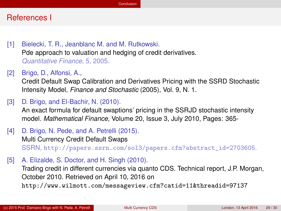#### <span id="page-28-4"></span>References I

- <span id="page-28-2"></span>[1] Bielecki, T. R., Jeanblanc M. and M. Rutkowski. Pde approach to valuation and hedging of credit derivatives. *Quantitative Finance*, 5, 2005.
- <span id="page-28-0"></span>[2] Brigo, D., Alfonsi, A.,

Credit Default Swap Calibration and Derivatives Pricing with the SSRD Stochastic Intensity Model, *Finance and Stochastic* (2005), Vol. 9, N. 1.

<span id="page-28-1"></span>[3] D. Brigo, and El-Bachir, N. (2010).

An exact formula for default swaptions' pricing in the SSRJD stochastic intensity model. *Mathematical Finance*, Volume 20, Issue 3, July 2010, Pages: 365-

[4] D. Brigo, N. Pede, and A. Petrelli (2015).

Multi Currency Credit Default Swaps SSRN, [http://papers.ssrn.com/sol3/papers.cfm?abstract\\_id=2703605](http://papers.ssrn.com/sol3/papers.cfm?abstract_id=2703605).

<span id="page-28-3"></span>[5] A. Elizalde, S. Doctor, and H. Singh (2010).

Trading credit in different currencies via quanto CDS. Technical report, J.P. Morgan, October 2010. Retrieved on April 10, 2016 on

http://www.wilmott.com/messageview.cfm?catid=11&threadid=97137